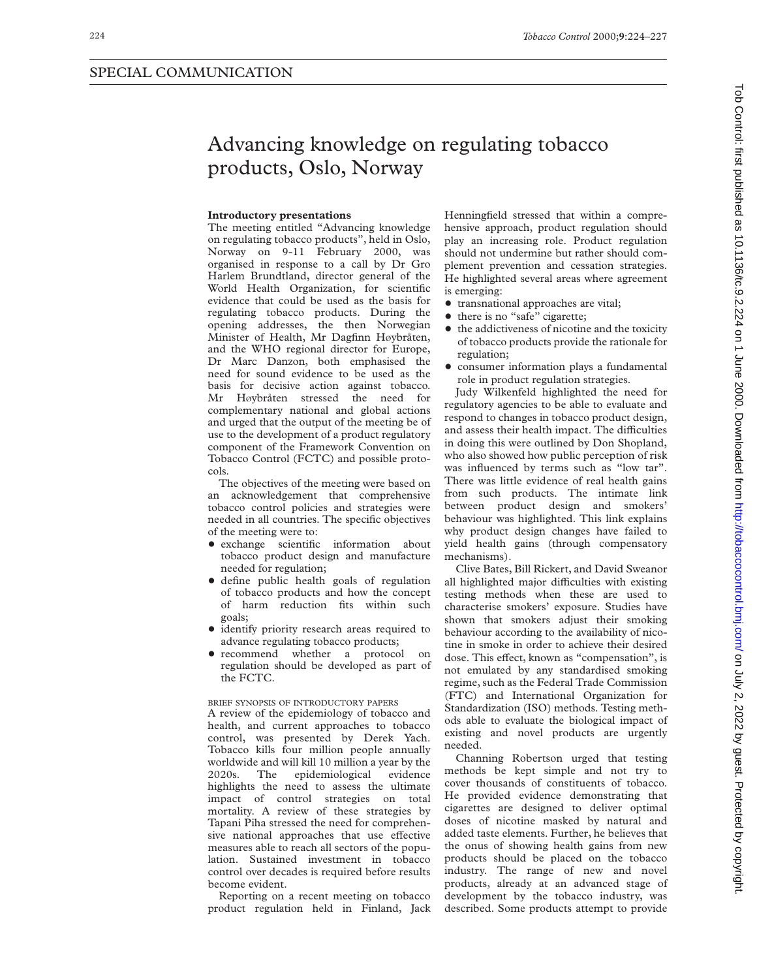# Advancing knowledge on regulating tobacco products, Oslo, Norway

#### **Introductory presentations**

The meeting entitled "Advancing knowledge on regulating tobacco products", held in Oslo, Norway on 9-11 February 2000, was organised in response to a call by Dr Gro Harlem Brundtland, director general of the World Health Organization, for scientific evidence that could be used as the basis for regulating tobacco products. During the opening addresses, the then Norwegian Minister of Health, Mr Dagfinn Høybråten, and the WHO regional director for Europe, Dr Marc Danzon, both emphasised the need for sound evidence to be used as the basis for decisive action against tobacco. Mr HØybråten stressed the need for complementary national and global actions and urged that the output of the meeting be of use to the development of a product regulatory component of the Framework Convention on Tobacco Control (FCTC) and possible protocols.

The objectives of the meeting were based on an acknowledgement that comprehensive tobacco control policies and strategies were needed in all countries. The specific objectives of the meeting were to:

- $\bullet$  exchange scientific information about tobacco product design and manufacture needed for regulation;
- define public health goals of regulation of tobacco products and how the concept of harm reduction fits within such goals;
- $\bullet$  identify priority research areas required to advance regulating tobacco products;
- recommend whether a protocol on regulation should be developed as part of the FCTC.

#### BRIEF SYNOPSIS OF INTRODUCTORY PAPERS

A review of the epidemiology of tobacco and health, and current approaches to tobacco control, was presented by Derek Yach. Tobacco kills four million people annually worldwide and will kill 10 million a year by the 2020s. The epidemiological evidence highlights the need to assess the ultimate impact of control strategies on total mortality. A review of these strategies by Tapani Piha stressed the need for comprehensive national approaches that use effective measures able to reach all sectors of the population. Sustained investment in tobacco control over decades is required before results become evident.

Reporting on a recent meeting on tobacco product regulation held in Finland, Jack Henningfield stressed that within a comprehensive approach, product regulation should play an increasing role. Product regulation should not undermine but rather should complement prevention and cessation strategies. He highlighted several areas where agreement is emerging:

- $\bullet$  transnational approaches are vital;
- $\bullet$  there is no "safe" cigarette;
- $\bullet$  the addictiveness of nicotine and the toxicity of tobacco products provide the rationale for regulation;
- + consumer information plays a fundamental role in product regulation strategies.

Judy Wilkenfeld highlighted the need for regulatory agencies to be able to evaluate and respond to changes in tobacco product design, and assess their health impact. The difficulties in doing this were outlined by Don Shopland, who also showed how public perception of risk was influenced by terms such as "low tar". There was little evidence of real health gains from such products. The intimate link between product design and smokers' behaviour was highlighted. This link explains why product design changes have failed to yield health gains (through compensatory mechanisms).

Clive Bates, Bill Rickert, and David Sweanor all highlighted major difficulties with existing testing methods when these are used to characterise smokers' exposure. Studies have shown that smokers adjust their smoking behaviour according to the availability of nicotine in smoke in order to achieve their desired dose. This effect, known as "compensation", is not emulated by any standardised smoking regime, such as the Federal Trade Commission (FTC) and International Organization for Standardization (ISO) methods. Testing methods able to evaluate the biological impact of existing and novel products are urgently needed.

Channing Robertson urged that testing methods be kept simple and not try to cover thousands of constituents of tobacco. He provided evidence demonstrating that cigarettes are designed to deliver optimal doses of nicotine masked by natural and added taste elements. Further, he believes that the onus of showing health gains from new products should be placed on the tobacco industry. The range of new and novel products, already at an advanced stage of development by the tobacco industry, was described. Some products attempt to provide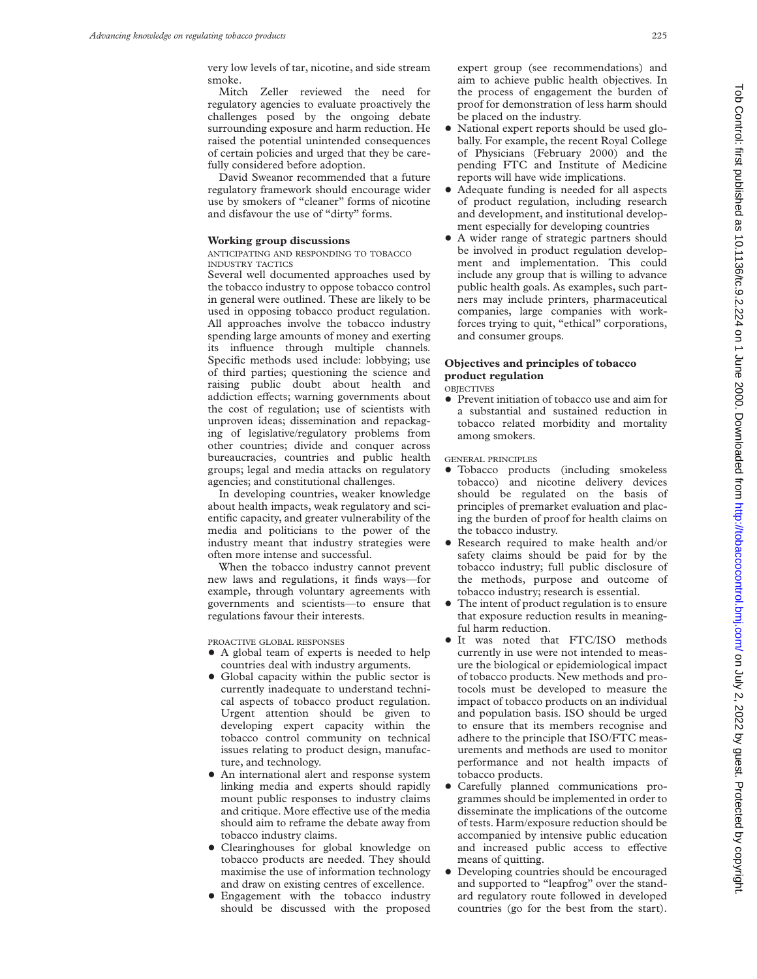very low levels of tar, nicotine, and side stream smoke.

Mitch Zeller reviewed the need for regulatory agencies to evaluate proactively the challenges posed by the ongoing debate surrounding exposure and harm reduction. He raised the potential unintended consequences of certain policies and urged that they be carefully considered before adoption.

David Sweanor recommended that a future regulatory framework should encourage wider use by smokers of "cleaner" forms of nicotine and disfavour the use of "dirty" forms.

#### **Working group discussions**

ANTICIPATING AND RESPONDING TO TOBACCO INDUSTRY TACTICS

Several well documented approaches used by the tobacco industry to oppose tobacco control in general were outlined. These are likely to be used in opposing tobacco product regulation. All approaches involve the tobacco industry spending large amounts of money and exerting its influence through multiple channels. Specific methods used include: lobbying; use of third parties; questioning the science and raising public doubt about health and addiction effects; warning governments about the cost of regulation; use of scientists with unproven ideas; dissemination and repackaging of legislative/regulatory problems from other countries; divide and conquer across bureaucracies, countries and public health groups; legal and media attacks on regulatory agencies; and constitutional challenges.

In developing countries, weaker knowledge about health impacts, weak regulatory and scientific capacity, and greater vulnerability of the media and politicians to the power of the industry meant that industry strategies were often more intense and successful.

When the tobacco industry cannot prevent new laws and regulations, it finds ways—for example, through voluntary agreements with governments and scientists—to ensure that regulations favour their interests.

PROACTIVE GLOBAL RESPONSES

- A global team of experts is needed to help countries deal with industry arguments.
- Global capacity within the public sector is currently inadequate to understand technical aspects of tobacco product regulation. Urgent attention should be given to developing expert capacity within the tobacco control community on technical issues relating to product design, manufacture, and technology.
- An international alert and response system linking media and experts should rapidly mount public responses to industry claims and critique. More effective use of the media should aim to reframe the debate away from tobacco industry claims.
- + Clearinghouses for global knowledge on tobacco products are needed. They should maximise the use of information technology and draw on existing centres of excellence.
- $\bullet$  Engagement with the tobacco industry should be discussed with the proposed

expert group (see recommendations) and aim to achieve public health objectives. In the process of engagement the burden of proof for demonstration of less harm should be placed on the industry.

- + National expert reports should be used globally. For example, the recent Royal College of Physicians (February 2000) and the pending FTC and Institute of Medicine reports will have wide implications.
- + Adequate funding is needed for all aspects of product regulation, including research and development, and institutional development especially for developing countries
- A wider range of strategic partners should be involved in product regulation development and implementation. This could include any group that is willing to advance public health goals. As examples, such partners may include printers, pharmaceutical companies, large companies with workforces trying to quit, "ethical" corporations, and consumer groups.

# **Objectives and principles of tobacco product regulation**

OBJECTIVES

• Prevent initiation of tobacco use and aim for a substantial and sustained reduction in tobacco related morbidity and mortality among smokers.

GENERAL PRINCIPLES

- $\bullet$  Tobacco products (including smokeless tobacco) and nicotine delivery devices should be regulated on the basis of principles of premarket evaluation and placing the burden of proof for health claims on the tobacco industry.
- + Research required to make health and/or safety claims should be paid for by the tobacco industry; full public disclosure of the methods, purpose and outcome of tobacco industry; research is essential.
- The intent of product regulation is to ensure that exposure reduction results in meaningful harm reduction.
- $\bullet$  It was noted that FTC/ISO methods currently in use were not intended to measure the biological or epidemiological impact of tobacco products. New methods and protocols must be developed to measure the impact of tobacco products on an individual and population basis. ISO should be urged to ensure that its members recognise and adhere to the principle that ISO/FTC measurements and methods are used to monitor performance and not health impacts of tobacco products.
- Carefully planned communications programmes should be implemented in order to disseminate the implications of the outcome of tests. Harm/exposure reduction should be accompanied by intensive public education and increased public access to effective means of quitting.
- Developing countries should be encouraged and supported to "leapfrog" over the standard regulatory route followed in developed countries (go for the best from the start).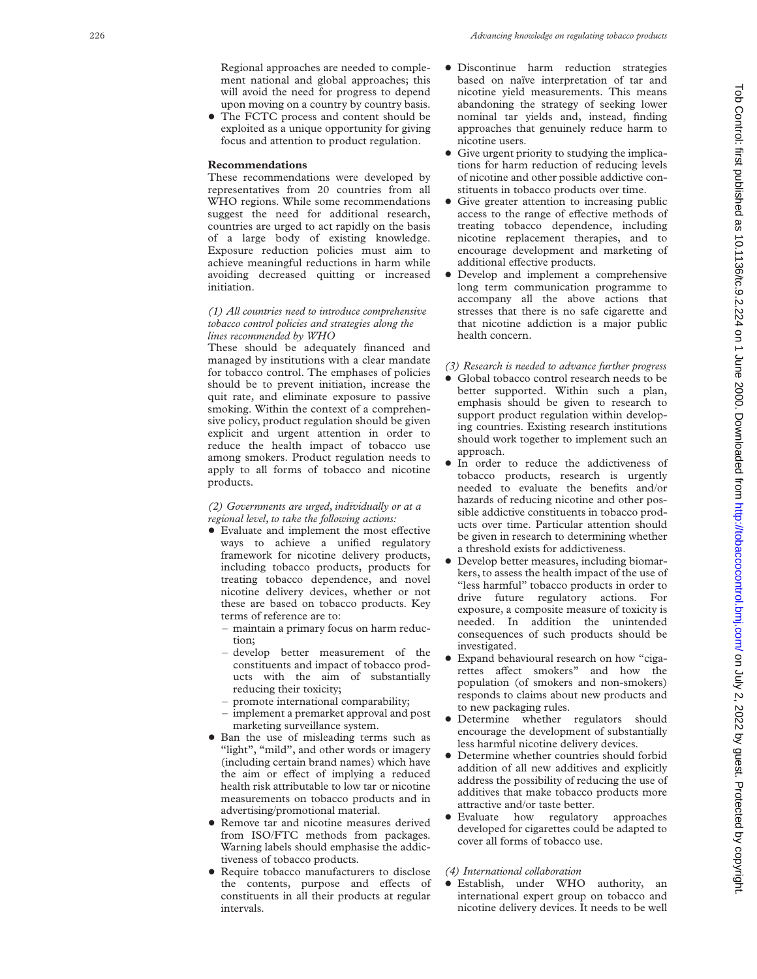Regional approaches are needed to complement national and global approaches; this will avoid the need for progress to depend upon moving on a country by country basis.

The FCTC process and content should be exploited as a unique opportunity for giving focus and attention to product regulation.

#### **Recommendations**

These recommendations were developed by representatives from 20 countries from all WHO regions. While some recommendations suggest the need for additional research, countries are urged to act rapidly on the basis of a large body of existing knowledge. Exposure reduction policies must aim to achieve meaningful reductions in harm while avoiding decreased quitting or increased initiation.

### *(1) All countries need to introduce comprehensive tobacco control policies and strategies along the lines recommended by WHO*

These should be adequately financed and managed by institutions with a clear mandate for tobacco control. The emphases of policies should be to prevent initiation, increase the quit rate, and eliminate exposure to passive smoking. Within the context of a comprehensive policy, product regulation should be given explicit and urgent attention in order to reduce the health impact of tobacco use among smokers. Product regulation needs to apply to all forms of tobacco and nicotine products.

## *(2) Governments are urged, individually or at a regional level, to take the following actions:*

- $\bullet$  Evaluate and implement the most effective ways to achieve a unified regulatory framework for nicotine delivery products, including tobacco products, products for treating tobacco dependence, and novel nicotine delivery devices, whether or not these are based on tobacco products. Key terms of reference are to:
	- maintain a primary focus on harm reduction;
	- develop better measurement of the constituents and impact of tobacco products with the aim of substantially reducing their toxicity;
	- promote international comparability;
	- implement a premarket approval and post marketing surveillance system.
- Ban the use of misleading terms such as "light", "mild", and other words or imagery (including certain brand names) which have the aim or effect of implying a reduced health risk attributable to low tar or nicotine measurements on tobacco products and in advertising/promotional material.
- + Remove tar and nicotine measures derived from ISO/FTC methods from packages. Warning labels should emphasise the addictiveness of tobacco products.
- Require tobacco manufacturers to disclose the contents, purpose and effects of constituents in all their products at regular intervals.
- $\bullet$  Discontinue harm reduction strategies based on naïve interpretation of tar and nicotine yield measurements. This means abandoning the strategy of seeking lower nominal tar yields and, instead, finding approaches that genuinely reduce harm to nicotine users.
- Give urgent priority to studying the implications for harm reduction of reducing levels of nicotine and other possible addictive constituents in tobacco products over time.
- Give greater attention to increasing public access to the range of effective methods of treating tobacco dependence, including nicotine replacement therapies, and to encourage development and marketing of additional effective products.
- + Develop and implement a comprehensive long term communication programme to accompany all the above actions that stresses that there is no safe cigarette and that nicotine addiction is a major public health concern.

#### *(3) Research is needed to advance further progress*

- Global tobacco control research needs to be better supported. Within such a plan, emphasis should be given to research to support product regulation within developing countries. Existing research institutions should work together to implement such an approach.
- $\bullet$  In order to reduce the addictiveness of tobacco products, research is urgently needed to evaluate the benefits and/or hazards of reducing nicotine and other possible addictive constituents in tobacco products over time. Particular attention should be given in research to determining whether a threshold exists for addictiveness.
- Develop better measures, including biomarkers, to assess the health impact of the use of "less harmful" tobacco products in order to drive future regulatory actions. For exposure, a composite measure of toxicity is needed. In addition the unintended consequences of such products should be investigated.
- + Expand behavioural research on how "cigarettes affect smokers" and how the population (of smokers and non-smokers) responds to claims about new products and to new packaging rules.
- $\bullet$  Determine whether regulators should encourage the development of substantially less harmful nicotine delivery devices.
- Determine whether countries should forbid addition of all new additives and explicitly address the possibility of reducing the use of additives that make tobacco products more attractive and/or taste better.
- $\bullet$  Evaluate how regulatory approaches developed for cigarettes could be adapted to cover all forms of tobacco use.

## *(4) International collaboration*

+ Establish, under WHO authority, an international expert group on tobacco and nicotine delivery devices. It needs to be well